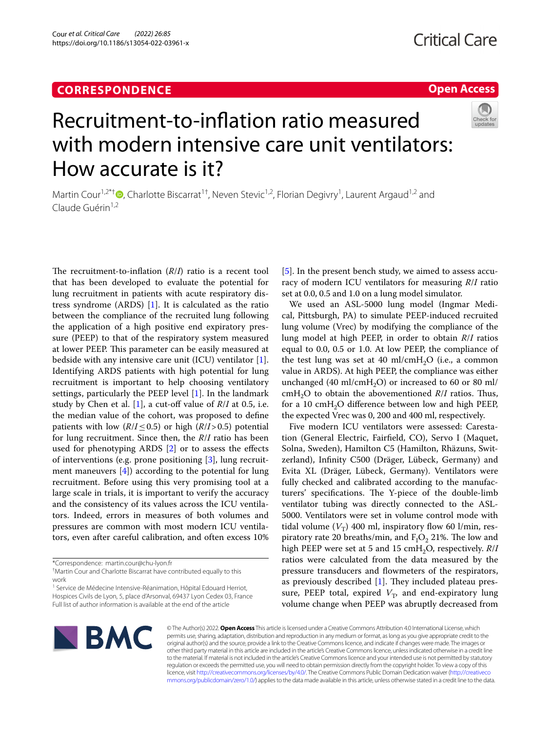### **CORRESPONDENCE**

## **Open Access**

# Recruitment-to-infation ratio measured with modern intensive care unit ventilators: How accurate is it?

Martin Cour<sup>1[,](http://orcid.org/0000-0003-4909-9761)2\*†</sup><sup>®</sup>, Charlotte Biscarrat<sup>1†</sup>, Neven Stevic<sup>1,2</sup>, Florian Degivry<sup>1</sup>, Laurent Argaud<sup>1,2</sup> and Claude Guérin<sup>1,2</sup>

The recruitment-to-inflation  $(R/I)$  ratio is a recent tool that has been developed to evaluate the potential for lung recruitment in patients with acute respiratory distress syndrome (ARDS) [[1\]](#page-2-0). It is calculated as the ratio between the compliance of the recruited lung following the application of a high positive end expiratory pressure (PEEP) to that of the respiratory system measured at lower PEEP. This parameter can be easily measured at bedside with any intensive care unit (ICU) ventilator  $[1]$  $[1]$ . Identifying ARDS patients with high potential for lung recruitment is important to help choosing ventilatory settings, particularly the PEEP level [\[1](#page-2-0)]. In the landmark study by Chen et al. [[1\]](#page-2-0), a cut-off value of  $R/I$  at 0.5, i.e. the median value of the cohort, was proposed to defne patients with low  $(R/I \leq 0.5)$  or high  $(R/I > 0.5)$  potential for lung recruitment. Since then, the *R*/*I* ratio has been used for phenotyping ARDS [[2\]](#page-2-1) or to assess the efects of interventions (e.g. prone positioning [[3\]](#page-2-2), lung recruitment maneuvers [\[4](#page-2-3)]) according to the potential for lung recruitment. Before using this very promising tool at a large scale in trials, it is important to verify the accuracy and the consistency of its values across the ICU ventilators. Indeed, errors in measures of both volumes and pressures are common with most modern ICU ventilators, even after careful calibration, and often excess 10% [[5\]](#page-2-4). In the present bench study, we aimed to assess accuracy of modern ICU ventilators for measuring *R*/*I* ratio set at 0.0, 0.5 and 1.0 on a lung model simulator.

We used an ASL-5000 lung model (Ingmar Medical, Pittsburgh, PA) to simulate PEEP-induced recruited lung volume (Vrec) by modifying the compliance of the lung model at high PEEP, in order to obtain *R*/*I* ratios equal to 0.0, 0.5 or 1.0. At low PEEP, the compliance of the test lung was set at 40 ml/cmH<sub>2</sub>O (i.e., a common value in ARDS). At high PEEP, the compliance was either unchanged (40 ml/cmH<sub>2</sub>O) or increased to 60 or 80 ml/ cmH<sub>2</sub>O to obtain the abovementioned  $R/I$  ratios. Thus, for a 10  $\text{cm}H_2O$  difference between low and high PEEP, the expected Vrec was 0, 200 and 400 ml, respectively.

Five modern ICU ventilators were assessed: Carestation (General Electric, Fairfeld, CO), Servo I (Maquet, Solna, Sweden), Hamilton C5 (Hamilton, Rhäzuns, Switzerland), Infnity C500 (Dräger, Lübeck, Germany) and Evita XL (Dräger, Lübeck, Germany). Ventilators were fully checked and calibrated according to the manufacturers' specifications. The Y-piece of the double-limb ventilator tubing was directly connected to the ASL-5000. Ventilators were set in volume control mode with tidal volume  $(V_T)$  400 ml, inspiratory flow 60 l/min, respiratory rate 20 breaths/min, and  $F_1O_2$  21%. The low and high PEEP were set at 5 and 15 cmH<sub>2</sub>O, respectively. *R*/*I* ratios were calculated from the data measured by the pressure transducers and fowmeters of the respirators, as previously described  $[1]$  $[1]$ . They included plateau pressure, PEEP total, expired  $V_T$ , and end-expiratory lung volume change when PEEP was abruptly decreased from



© The Author(s) 2022. **Open Access** This article is licensed under a Creative Commons Attribution 4.0 International License, which permits use, sharing, adaptation, distribution and reproduction in any medium or format, as long as you give appropriate credit to the original author(s) and the source, provide a link to the Creative Commons licence, and indicate if changes were made. The images or other third party material in this article are included in the article's Creative Commons licence, unless indicated otherwise in a credit line to the material. If material is not included in the article's Creative Commons licence and your intended use is not permitted by statutory regulation or exceeds the permitted use, you will need to obtain permission directly from the copyright holder. To view a copy of this licence, visit [http://creativecommons.org/licenses/by/4.0/.](http://creativecommons.org/licenses/by/4.0/) The Creative Commons Public Domain Dedication waiver ([http://creativeco](http://creativecommons.org/publicdomain/zero/1.0/) [mmons.org/publicdomain/zero/1.0/](http://creativecommons.org/publicdomain/zero/1.0/)) applies to the data made available in this article, unless otherwise stated in a credit line to the data.

<sup>\*</sup>Correspondence: martin.cour@chu-lyon.fr

<sup>†</sup> Martin Cour and Charlotte Biscarrat have contributed equally to this work

<sup>&</sup>lt;sup>1</sup> Service de Médecine Intensive-Réanimation, Hôpital Edouard Herriot, Hospices Civils de Lyon, 5, place d'Arsonval, 69437 Lyon Cedex 03, France Full list of author information is available at the end of the article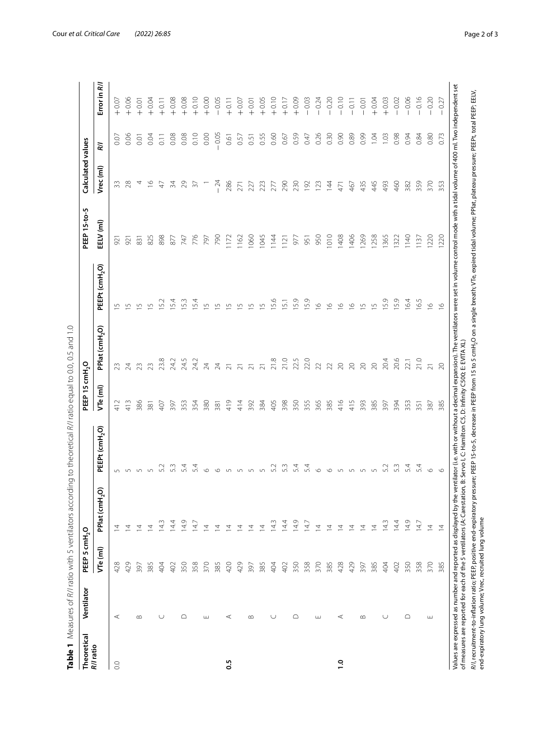<span id="page-1-0"></span>

| ł                                     |
|---------------------------------------|
| $\vdots$                              |
|                                       |
|                                       |
| ł                                     |
| ľ<br>$\frac{1}{2}$                    |
|                                       |
| $\ddot{\cdot}$<br>ł                   |
|                                       |
|                                       |
| 5<br>j                                |
|                                       |
| )<br>i                                |
| $\overline{\mathbf{C}}$               |
| $\frac{1}{2}$                         |
|                                       |
|                                       |
| ֦֦֦֦֦֦֦֦֪֦֚֚֚֝֝֝֝֝֝֝֝֝֬֝֝֬֝֝ <b>֞</b> |
| j<br>ł<br>ļ<br>I                      |
| $\frac{1}{2}$                         |
| ļ                                     |
|                                       |
|                                       |
|                                       |
| $\frac{1}{2}$<br><sup>)</sup>         |
| ١                                     |
| S<br>S<br>S                           |
|                                       |
| CCOM                                  |
|                                       |
| うりりっ                                  |
| こくらく                                  |
| j                                     |
| $\ddot{\phantom{a}}$                  |
|                                       |
| ļ                                     |
| $\frac{1}{2}$                         |
| J<br>$\overline{a}$                   |
|                                       |
|                                       |
|                                       |
| I                                     |
| ĺ<br>j                                |
|                                       |
|                                       |
| 5                                     |
| $\frac{4}{3}$                         |
| 3<br>ì                                |
|                                       |
| í<br>5                                |
| J<br>ē                                |
|                                       |
|                                       |
|                                       |
| $\frac{6}{5}$<br>l                    |

| R/I ratio  | Ventilator  | PEEP 5 cmH <sub>2</sub> O |                            |                                                                                                                                    | PEEP 15 cmH <sub>2</sub> O |                            |                                                                                                                                                                                                                           | PEEP 15-to-5 | Calculated values |                  |              |
|------------|-------------|---------------------------|----------------------------|------------------------------------------------------------------------------------------------------------------------------------|----------------------------|----------------------------|---------------------------------------------------------------------------------------------------------------------------------------------------------------------------------------------------------------------------|--------------|-------------------|------------------|--------------|
|            |             | VTe (ml)                  | PPlat (cmH <sub>2</sub> O) | PEEPt (cmH <sub>2</sub> O)                                                                                                         | VTe (ml)                   | PPlat (cmH <sub>2</sub> O) | PEEPt (cmH <sub>2</sub> O)                                                                                                                                                                                                | EELV (ml)    | Vrec (ml)         | Κl               | Error in R/J |
| $_{\odot}$ | $\prec$     | 428                       | $\overline{4}$             |                                                                                                                                    | 412                        |                            | 5                                                                                                                                                                                                                         | 921          | 33                | 0.07             | $+0.07$      |
|            |             | 429                       | 호                          |                                                                                                                                    | 413                        | 24                         | $\overline{5}$                                                                                                                                                                                                            | 921          | 28                | 0.06             | $+0.06$      |
|            | $\infty$    | 397                       | $\overline{4}$             | $\cup$                                                                                                                             | 386                        | 23                         | $\cup$                                                                                                                                                                                                                    | 831          | 4                 | $\overline{0}$ . | $+0.01$      |
|            |             | 385                       | $\overline{4}$             |                                                                                                                                    | 381                        | 23                         | $\overline{5}$                                                                                                                                                                                                            | 825          | $\frac{8}{1}$     | 0.04             | $+0.04$      |
|            | $\cup$      | 404                       | 143                        | 52                                                                                                                                 | 407                        | 23.8                       | 52                                                                                                                                                                                                                        | 898          | 47                | 0.11             | $+0.11$      |
|            |             | 402                       | 14.4                       |                                                                                                                                    | 397                        | 24.2                       | 54                                                                                                                                                                                                                        | 877          | 34                | 0.08             | $+0.08$      |
|            | △           | 350                       | 14.9                       | 54                                                                                                                                 | 353                        | 24.5                       | 53                                                                                                                                                                                                                        | 747          | 29                | 0.08             | $+0.08$      |
|            |             | 358                       | 14.7                       | 5.4                                                                                                                                | 354                        | 24.2                       | 5.4                                                                                                                                                                                                                       | 776          | $\overline{5}$    | 0.10             | $+0.10$      |
|            | ш           | 370                       | $\overline{4}$             | v0                                                                                                                                 | 380                        | 24                         | $\cup$                                                                                                                                                                                                                    | 797          |                   | 0.00             | $+0.00$      |
|            |             | 385                       | $\overline{4}$             |                                                                                                                                    | 381                        | 24                         | $\mathsf{L}\cap$                                                                                                                                                                                                          | <b>D6Z</b>   | $-24$             | $-0.05$          | $-0.05$      |
| 0.5        | ⋖           | 420                       | $\overline{4}$             |                                                                                                                                    | 419                        | $\overline{\sim}$          | 5                                                                                                                                                                                                                         | 1172         | 286               | 0.61             | $+0.11$      |
|            |             | 429                       | $\overline{4}$             |                                                                                                                                    | 414                        | $\overline{z}$             | S                                                                                                                                                                                                                         | 1162         | 271               | 0.57             | $+0.07$      |
|            | $\infty$    | 397                       | $\overline{4}$             |                                                                                                                                    | 392                        | $\overline{z}$             | S                                                                                                                                                                                                                         | 1060         | 227               | 0.51             | $+0.01$      |
|            |             | 385                       | $\overline{4}$             |                                                                                                                                    | 384                        | $\overline{c}$             | $\cup$                                                                                                                                                                                                                    | 1045         | 223               | 0.55             | $+0.05$      |
|            | $\cup$      | 404                       | 14.3                       | 5.2                                                                                                                                | 405                        | 21.8                       | 5.6                                                                                                                                                                                                                       | 1144         | 277               | 0.60             | $+0.10$      |
|            |             | 402                       | 14.4                       |                                                                                                                                    | 398                        | 21.0                       | $\overline{5}$                                                                                                                                                                                                            | 121          | 290               | 0.67             | $+0.17$      |
|            | $\supseteq$ | 350                       | 14.9                       | 54                                                                                                                                 | 350                        | 22.5                       | 5.9                                                                                                                                                                                                                       | 977          | 230               | 0.59             | $+0.09$      |
|            |             | 358                       | 14.7                       | 54                                                                                                                                 | 355                        | 22.0                       | 5.9                                                                                                                                                                                                                       | 951          | 192               | 0.47             | $-0.03$      |
|            | ш           | 370                       | $\overline{4}$             | v0                                                                                                                                 | 365                        | 22                         | $\circ$                                                                                                                                                                                                                   | 950          | 123               | 0.26             | $-0.24$      |
|            |             | 385                       | $\overline{4}$             | ١n                                                                                                                                 | 385                        | 22                         | $\circ$                                                                                                                                                                                                                   | 1010         | $\overline{4}$    | 0.30             | $-0.20$      |
| $\ddot{ }$ | ⋖           | 428                       | $\overline{4}$             |                                                                                                                                    | 416                        | $\infty$                   | $\overline{9}$                                                                                                                                                                                                            | 1408         | 471               | 0.90             | $-0.10$      |
|            |             | 429                       | $\overline{4}$             | $\sqrt{2}$                                                                                                                         | 415                        | $\infty$                   | $\overline{9}$                                                                                                                                                                                                            | 1406         | 467               | 0.89             | $-0.11$      |
|            | $\infty$    | 397                       | $\overline{4}$             | $\sqrt{2}$                                                                                                                         | 393                        | $\infty$                   | $\overline{5}$                                                                                                                                                                                                            | 1269         | 435               | 0.99             | $-0.01$      |
|            |             | 385                       | $\overline{4}$             | $\sqrt{2}$                                                                                                                         | 385                        | $\infty$                   | $\overline{5}$                                                                                                                                                                                                            | 1258         | 445               | 1.04             | $+0.04$      |
|            | $\cup$      | 404                       | 14.3                       | Lo,                                                                                                                                | 397                        | 20.4                       | 15.9                                                                                                                                                                                                                      | 1365         | 493               | 1.03             | $+0.03$      |
|            |             | 402                       | 14.4                       |                                                                                                                                    | 394                        | 20.6                       | 15.9                                                                                                                                                                                                                      | 1322         | 460               | 0.98             | $-0.02$      |
|            | $\bigcirc$  | 350                       | 14.9                       | 5.4                                                                                                                                | 353                        | 22.1                       | 16.4                                                                                                                                                                                                                      | 1140         | 382               | 0.94             | $-0.06$      |
|            |             | 358                       | 14.7                       | 5.4                                                                                                                                | 351                        | 21.0                       | 16.5                                                                                                                                                                                                                      | 1137         | 359               | 0.84             | $-0.16$      |
|            | ш           | 370                       | $\overline{4}$             | $\circ$                                                                                                                            | 387                        | $\overline{N}$             | $\overline{9}$                                                                                                                                                                                                            | 1220         | 370               | 0.80             | $-0.20$      |
|            |             | 385                       | $\overline{4}$             | $\circ$                                                                                                                            | 385                        | $\infty$                   | $\frac{6}{2}$                                                                                                                                                                                                             | 1220         | 353               | 0.73             | $-0.27$      |
|            |             |                           |                            | of measures are reported for each of the 5 ventilators (A: Carestation, B: Servo l, C: Hamilton C5, D: Infinity C500; E: EVITA XL) |                            |                            | Values are expressed as number and reported as displayed by the ventilator (i.e. with or without a decimal expansion). The ventilators were set in volume control mode with a tidal volume of 400 ml. Two independent set |              |                   |                  |              |